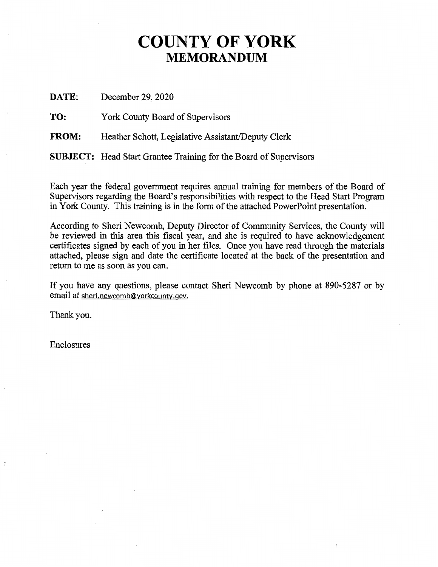#### **COUNTY OF YORK MEMORANDUM**

**DATE:**  December 29, 2020

**TO:**  York County Board of Supervisors

**FROM:**  Heather Schott, Legislative Assistant/Deputy Clerk

**SUBJECT:** Head Start Grantee Training for the Board of Supervisors

Each year the federal government requires annual training for members of the Board of Supervisors regarding the Board's responsibilities with respect to the Head Start Program in York County. This training is in the form of the attached PowerPoint presentation.

According to Sheri Newcomb, Deputy Director of Community Services, the County will be reviewed in this area this fiscal year, and she is required to have acknowledgement certificates signed by each of you in her files. Once you have read through the materials attached, please sign and date the certificate located at the back of the presentation and return to me as soon as you can.

If you have any questions, please contact Sheri Newcomb by phone at 890-5287 or by email at sheri.newcomb@yorkcounty.gov.

Thank you.

Enclosures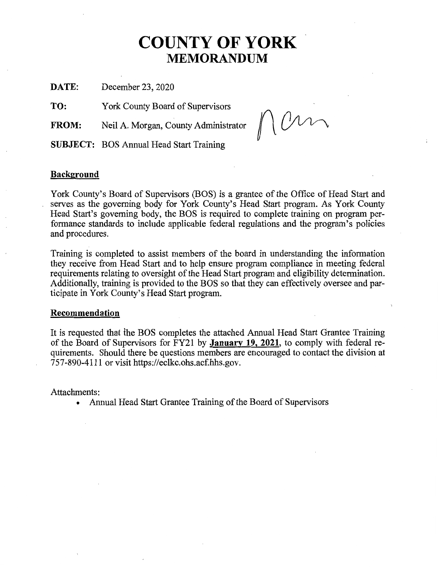#### **COUNTY OF YORK MEMORANDUM**

**DATE:**  December 23, 2020

**TO:**  York County Board of Supervisors

**FROM:**  Neil A. Morgan, County Administrator

nan

**SUBJECT:** BOS Annual Head Start Training

#### **Background**

York County's Board of Supervisors (BOS) is a grantee of the Office of Head Start and serves as the governing body for York County's Head Start program. As York County Head Start's governing body, the BOS is required to complete training on program performance standards to include applicable federal regulations and the program's policies and procedures.

Training is completed to assist members of the board in understanding the information they receive from Head Start and to help ensure program compliance in meeting federal requirements relating to oversight of the Head Start program and eligibility determination. Additionally, training is provided to the BOS so that they can effectively oversee and participate in York County's Head Start program.

#### **Recommendation**

It is requested that the BOS completes the attached Annual Head Start Grantee Training of the Board of Supervisors for FY21 by **January 19, 2021,** to comply with federal requirements. Should there be questions members are encouraged to contact the division at 757-890-4111 or visit https://eclkc.ohs.acf.hhs.gov.

Attachments:

• Annual Head Start Grantee Training of the Board of Supervisors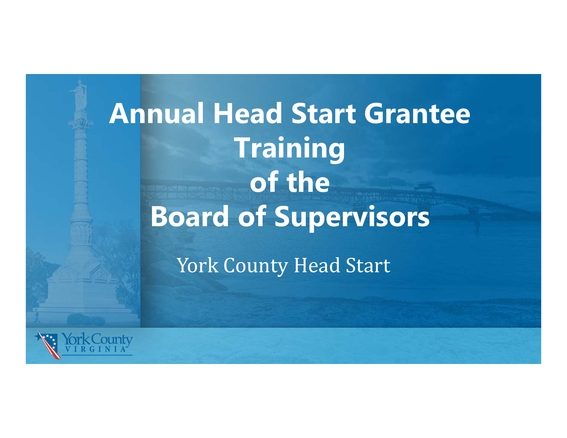

York County Head Start

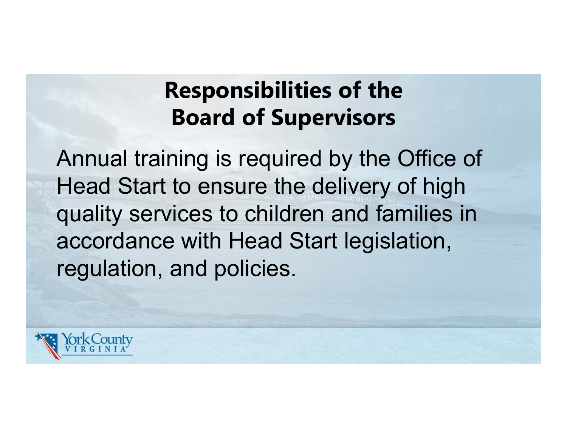# **Responsibilities of the Board of Supervisors**

Annual training is required by the Office of Head Start to ensure the delivery of high quality services to children and families in accordance with Head Start legislation, regulation, and policies.

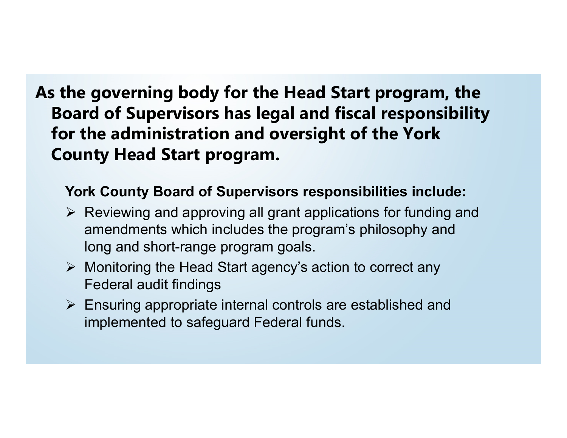## **As the governing body for the Head Start program, the Board of Supervisors has legal and fiscal responsibility for the administration and oversight of the York County Head Start program.**

### **York County Board of Supervisors responsibilities include:**

- $\triangleright$  Reviewing and approving all grant applications for funding and amendments which includes the program's philosophy and long and short-range program goals.
- Monitoring the Head Start agency's action to correct any Federal audit findings
- Ensuring appropriate internal controls are established and implemented to safeguard Federal funds.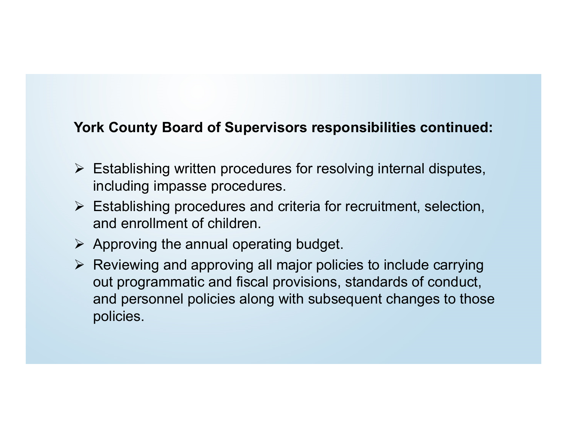#### **York County Board of Supervisors responsibilities continued:**

- $\triangleright$  Establishing written procedures for resolving internal disputes, including impasse procedures.
- Establishing procedures and criteria for recruitment, selection, and enrollment of children.
- $\triangleright$  Approving the annual operating budget.
- $\triangleright$  Reviewing and approving all major policies to include carrying out programmatic and fiscal provisions, standards of conduct, and personnel policies along with subsequent changes to those policies.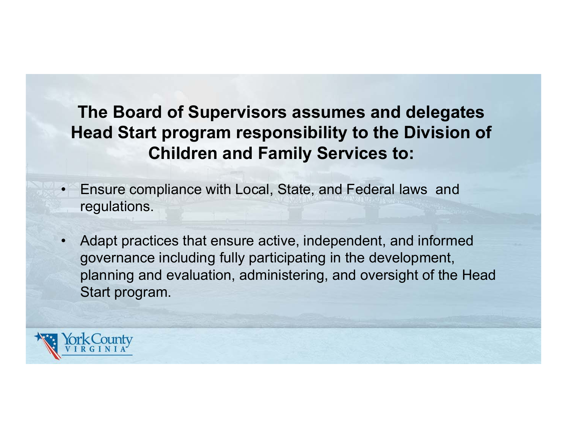## **The Board of Supervisors assumes and delegates Head Start program responsibility to the Division of Children and Family Services to:**

- • Ensure compliance with Local, State, and Federal laws and regulations.
- • Adapt practices that ensure active, independent, and informed governance including fully participating in the development, planning and evaluation, administering, and oversight of the Head Start program.

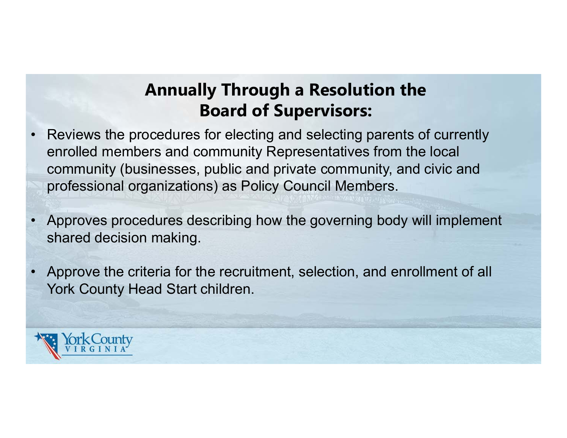## **Annually Through a Resolution the Board of Supervisors:**

- • Reviews the procedures for electing and selecting parents of currently enrolled members and community Representatives from the local community (businesses, public and private community, and civic and professional organizations) as Policy Council Members.
- • Approves procedures describing how the governing body will implement shared decision making.
- • Approve the criteria for the recruitment, selection, and enrollment of all York County Head Start children.

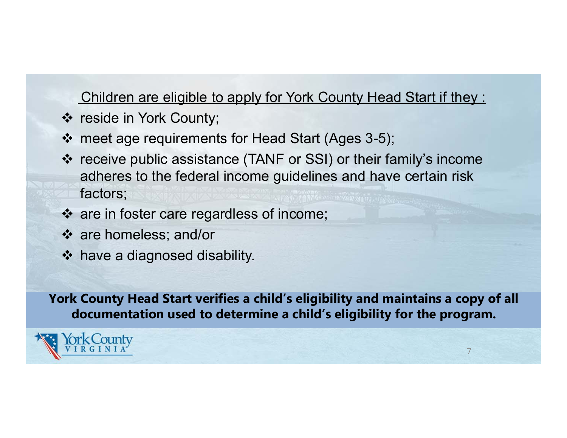#### Children are eligible to apply for York County Head Start if they :

- reside in York County;
- meet age requirements for Head Start (Ages 3-5);
- receive public assistance (TANF or SSI) or their family's income adheres to the federal income guidelines and have certain risk factors;
- are in foster care regardless of income;
- are homeless; and/or
- have a diagnosed disability.

**York County Head Start verifies a child's eligibility and maintains a copy of all documentation used to determine a child's eligibility for the program.**

7

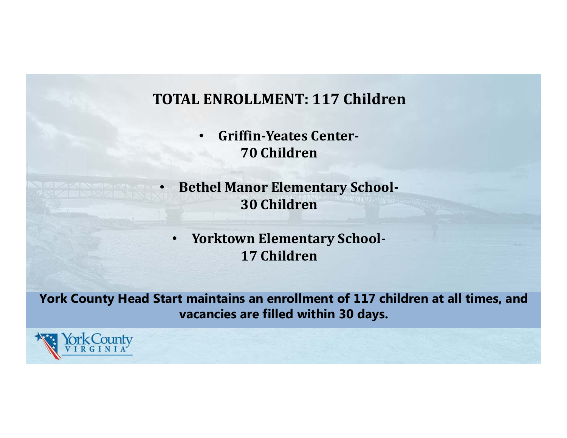### **TOTAL ENROLLMENT: 117 Children**

- $\bullet$  **Griffin‐Yeates Center‐ 70 Children**
- • **Bethel Manor Elementary School‐ 30 Children**
	- • **Yorktown Elementary School‐ 17 Children**

**York County Head Start maintains an enrollment of 117 children at all times, and vacancies are filled within 30 days.**

<County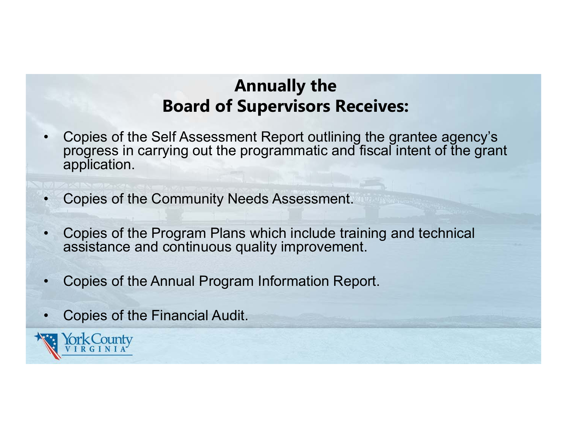## **Annually the Board of Supervisors Receives:**

- • Copies of the Self Assessment Report outlining the grantee agency's progress in carrying out the programmatic and fiscal intent of the grant application.
- •Copies of the Community Needs Assessment.
- • Copies of the Program Plans which include training and technical assistance and continuous quality improvement.
- •Copies of the Annual Program Information Report.
- •Copies of the Financial Audit.

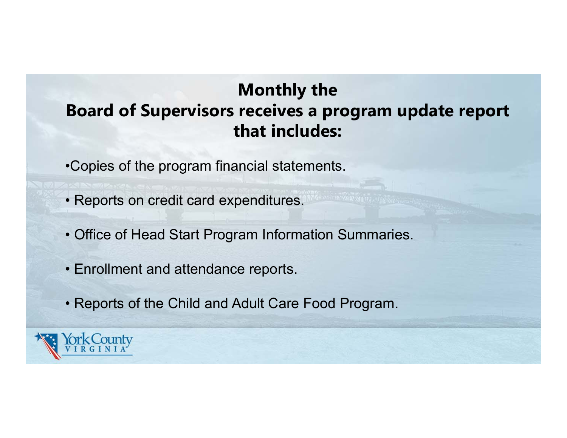## **Monthly the Board of Supervisors receives a program update report that includes:**

- •Copies of the program financial statements.
- Reports on credit card expenditures.
- Office of Head Start Program Information Summaries.
- Enrollment and attendance reports.
- Reports of the Child and Adult Care Food Program.

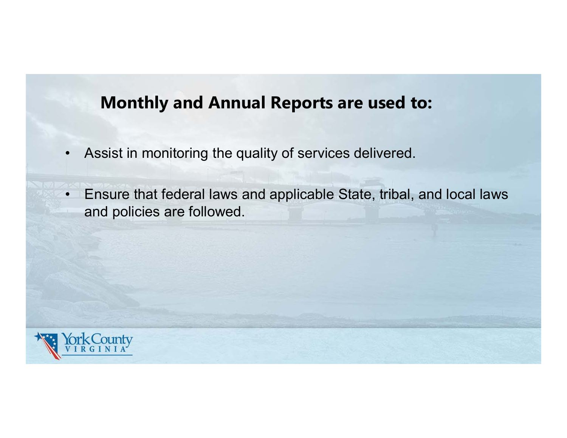## **Monthly and Annual Reports are used to:**

- •Assist in monitoring the quality of services delivered.
- • Ensure that federal laws and applicable State, tribal, and local laws and policies are followed.

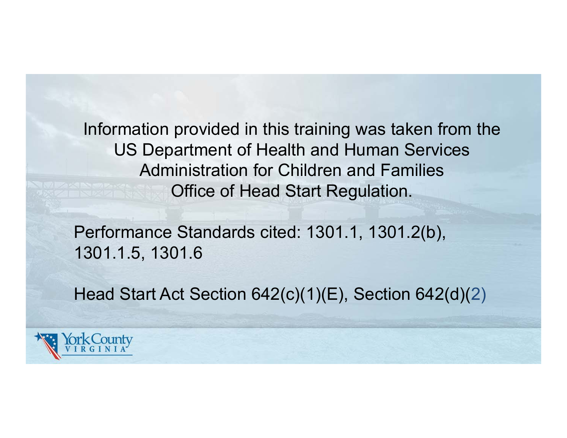Information provided in this training was taken from the US Department of Health and Human Services Administration for Children and Families Office of Head Start Regulation.

Performance Standards cited: 1301.1, 1301.2(b), 1301.1.5, 1301.6

Head Start Act Section 642(c)(1)(E), Section 642(d)(2)